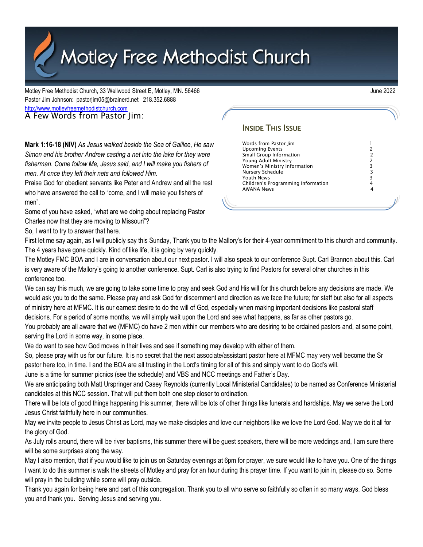Motley Free Methodist Church

Motley Free Methodist Church, 33 Wellwood Street E, Motley, MN. 56466 June 2022 Pastor Jim Johnson: pastorjim05@brainerd.net 218.352.6888 [http://www.motleyfreemethodistchurch.com](http://www.motleyfreemethodistchurch.com/) A Few Words from Pastor Jim:

**Mark 1:16-18 (NIV)** *As Jesus walked beside the Sea of Galilee, He saw Simon and his brother Andrew casting a net into the lake for they were fisherman. Come follow Me, Jesus said, and I will make you fishers of men. At once they left their nets and followed Him.*

Praise God for obedient servants like Peter and Andrew and all the rest who have answered the call to "come, and I will make you fishers of men".

Some of you have asked, "what are we doing about replacing Pastor Charles now that they are moving to Missouri"?

So, I want to try to answer that here.

First let me say again, as I will publicly say this Sunday, Thank you to the Mallory's for their 4-year commitment to this church and community. The 4 years have gone quickly. Kind of like life, it is going by very quickly.

The Motley FMC BOA and I are in conversation about our next pastor. I will also speak to our conference Supt. Carl Brannon about this. Carl is very aware of the Mallory's going to another conference. Supt. Carl is also trying to find Pastors for several other churches in this conference too.

We can say this much, we are going to take some time to pray and seek God and His will for this church before any decisions are made. We would ask you to do the same. Please pray and ask God for discernment and direction as we face the future; for staff but also for all aspects of ministry here at MFMC. It is our earnest desire to do the will of God, especially when making important decisions like pastoral staff decisions. For a period of some months, we will simply wait upon the Lord and see what happens, as far as other pastors go.

You probably are all aware that we (MFMC) do have 2 men within our members who are desiring to be ordained pastors and, at some point, serving the Lord in some way, in some place.

We do want to see how God moves in their lives and see if something may develop with either of them.

So, please pray with us for our future. It is no secret that the next associate/assistant pastor here at MFMC may very well become the Sr pastor here too, in time. I and the BOA are all trusting in the Lord's timing for all of this and simply want to do God's will.

June is a time for summer picnics (see the schedule) and VBS and NCC meetings and Father's Day.

We are anticipating both Matt Urspringer and Casey Reynolds (currently Local Ministerial Candidates) to be named as Conference Ministerial candidates at this NCC session. That will put them both one step closer to ordination.

There will be lots of good things happening this summer, there will be lots of other things like funerals and hardships. May we serve the Lord Jesus Christ faithfully here in our communities.

May we invite people to Jesus Christ as Lord, may we make disciples and love our neighbors like we love the Lord God. May we do it all for the glory of God.

As July rolls around, there will be river baptisms, this summer there will be guest speakers, there will be more weddings and, I am sure there will be some surprises along the way.

May I also mention, that if you would like to join us on Saturday evenings at 6pm for prayer, we sure would like to have you. One of the things I want to do this summer is walk the streets of Motley and pray for an hour during this prayer time. If you want to join in, please do so. Some will pray in the building while some will pray outside.

Thank you again for being here and part of this congregation. Thank you to all who serve so faithfully so often in so many ways. God bless you and thank you. Serving Jesus and serving you.

## **INSIDE THIS ISSUE**

Words from Pastor Jim 1 Upcoming Events<br>
2<br>
Small Group Information 12<br>
2<br>
Young Adult Ministry<br>
2<br>
Women's Ministry Information 13<br>
2<br>
Youth News<br>
2<br>
Children's Programming Information 14<br>
4 Small Group Information Young Adult Ministry 2 Women's Ministry Information Nursery Schedule 3 Youth News 3 Children's Programming Information 4 **AWANA News**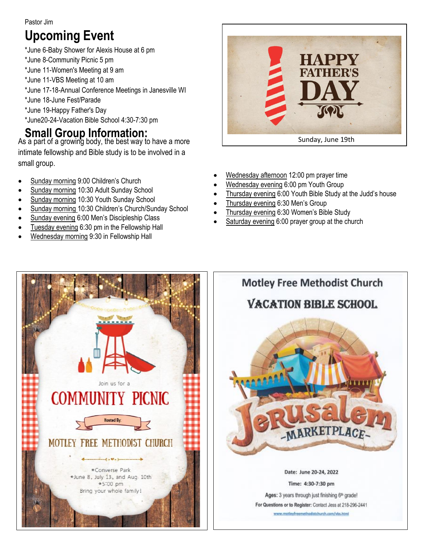## Pastor Jim

# **Upcoming Event**

- \*June 6-Baby Shower for Alexis House at 6 pm
- \*June 8-Community Picnic 5 pm

\*June 11-Women's Meeting at 9 am

- \*June 11-VBS Meeting at 10 am
- \*June 17-18-Annual Conference Meetings in Janesville WI
- \*June 18-June Fest/Parade
- \*June 19-Happy Father's Day
- \*June20-24-Vacation Bible School 4:30-7:30 pm

# **Small Group Information:**

As a part of a growing body, the best way to have a more intimate fellowship and Bible study is to be involved in a small group.

- Sunday morning 9:00 Children's Church
- Sunday morning 10:30 Adult Sunday School
- Sunday morning 10:30 Youth Sunday School
- Sunday morning 10:30 Children's Church/Sunday School
- Sunday evening 6:00 Men's Discipleship Class
- Tuesday evening 6:30 pm in the Fellowship Hall
- Wednesday morning 9:30 in Fellowship Hall



- Wednesday afternoon 12:00 pm prayer time
- Wednesday evening 6:00 pm Youth Group
- Thursday evening 6:00 Youth Bible Study at the Judd's house
- Thursday evening 6:30 Men's Group
- Thursday evening 6:30 Women's Bible Study
- Saturday evening 6:00 prayer group at the church



**Motley Free Methodist Church VACATION BIBLE SCHOOL** Date: June 20-24, 2022 Time: 4:30-7:30 pm

> Ages: 3 years through just finishing 6th grade! For Questions or to Register: Contact Jess at 218-296-2441 www.motleyfreemethodistchurch.com/vbs.html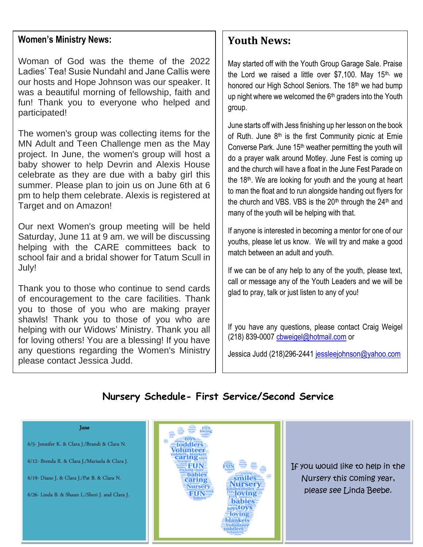## **Women's Ministry News:**

Woman of God was the theme of the 2022 Ladies' Tea! Susie Nundahl and Jane Callis were our hosts and Hope Johnson was our speaker. It was a beautiful morning of fellowship, faith and fun! Thank you to everyone who helped and participated!

The women's group was collecting items for the MN Adult and Teen Challenge men as the May project. In June, the women's group will host a baby shower to help Devrin and Alexis House celebrate as they are due with a baby girl this summer. Please plan to join us on June 6th at 6 pm to help them celebrate. Alexis is registered at Target and on Amazon!

Our next Women's group meeting will be held Saturday, June 11 at 9 am. we will be discussing helping with the CARE committees back to school fair and a bridal shower for Tatum Scull in July!

Thank you to those who continue to send cards of encouragement to the care facilities. Thank you to those of you who are making prayer shawls! Thank you to those of you who are helping with our Widows' Ministry. Thank you all for loving others! You are a blessing! If you have any questions regarding the Women's Ministry please contact Jessica Judd.

## **Youth News:**

May started off with the Youth Group Garage Sale. Praise the Lord we raised a little over \$7,100. May  $15<sup>th</sup>$ , we honored our High School Seniors. The 18<sup>th</sup> we had bump up night where we welcomed the 6<sup>th</sup> graders into the Youth group.

June starts off with Jess finishing up her lesson on the book of Ruth. June  $8<sup>th</sup>$  is the first Community picnic at Ernie Converse Park. June 15<sup>th</sup> weather permitting the youth will do a prayer walk around Motley. June Fest is coming up and the church will have a float in the June Fest Parade on the  $18<sup>th</sup>$ . We are looking for youth and the young at heart to man the float and to run alongside handing out flyers for the church and VBS. VBS is the  $20<sup>th</sup>$  through the  $24<sup>th</sup>$  and many of the youth will be helping with that.

If anyone is interested in becoming a mentor for one of our youths, please let us know. We will try and make a good match between an adult and youth.

If we can be of any help to any of the youth, please text, call or message any of the Youth Leaders and we will be glad to pray, talk or just listen to any of you!

If you have any questions, please contact Craig Weigel (218) 839-0007 [cbweigel@hotmail.com](mailto:cbweigel@hotmail.com) or

Jessica Judd (218)296-2441 [jessleejohnson@yahoo.com](mailto:jessleejohnson@yahoo.com)

## **Nursery Schedule- First Service/Second Service**

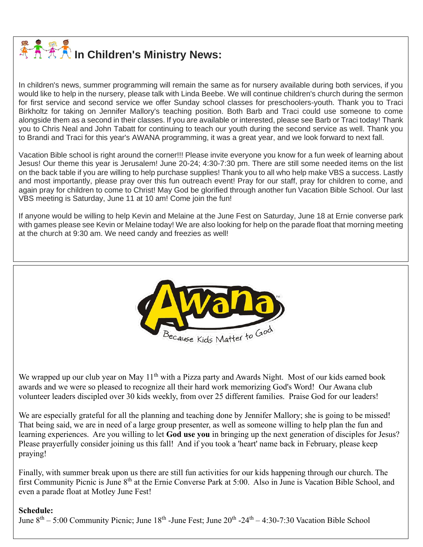

In children's news, summer programming will remain the same as for nursery available during both services, if you would like to help in the nursery, please talk with Linda Beebe. We will continue children's church during the sermon for first service and second service we offer Sunday school classes for preschoolers-youth. Thank you to Traci Birkholtz for taking on Jennifer Mallory's teaching position. Both Barb and Traci could use someone to come alongside them as a second in their classes. If you are available or interested, please see Barb or Traci today! Thank you to Chris Neal and John Tabatt for continuing to teach our youth during the second service as well. Thank you to Brandi and Traci for this year's AWANA programming, it was a great year, and we look forward to next fall.

Vacation Bible school is right around the corner!!! Please invite everyone you know for a fun week of learning about Jesus! Our theme this year is Jerusalem! June 20-24; 4:30-7:30 pm. There are still some needed items on the list on the back table if you are willing to help purchase supplies! Thank you to all who help make VBS a success. Lastly and most importantly, please pray over this fun outreach event! Pray for our staff, pray for children to come, and again pray for children to come to Christ! May God be glorified through another fun Vacation Bible School. Our last VBS meeting is Saturday, June 11 at 10 am! Come join the fun!

If anyone would be willing to help Kevin and Melaine at the June Fest on Saturday, June 18 at Ernie converse park with games please see Kevin or Melaine today! We are also looking for help on the parade float that morning meeting at the church at 9:30 am. We need candy and freezies as well!



We wrapped up our club year on May 11<sup>th</sup> with a Pizza party and Awards Night. Most of our kids earned book awards and we were so pleased to recognize all their hard work memorizing God's Word! Our Awana club volunteer leaders discipled over 30 kids weekly, from over 25 different families. Praise God for our leaders!

We are especially grateful for all the planning and teaching done by Jennifer Mallory; she is going to be missed! That being said, we are in need of a large group presenter, as well as someone willing to help plan the fun and learning experiences. Are you willing to let **God use you** in bringing up the next generation of disciples for Jesus? Please prayerfully consider joining us this fall! And if you took a 'heart' name back in February, please keep praying!

Finally, with summer break upon us there are still fun activities for our kids happening through our church. The first Community Picnic is June 8<sup>th</sup> at the Ernie Converse Park at 5:00. Also in June is Vacation Bible School, and even a parade float at Motley June Fest!

## **Schedule:**

June 8<sup>th</sup> – 5:00 Community Picnic; June 18<sup>th</sup> -June Fest; June 20<sup>th</sup> -24<sup>th</sup> – 4:30-7:30 Vacation Bible School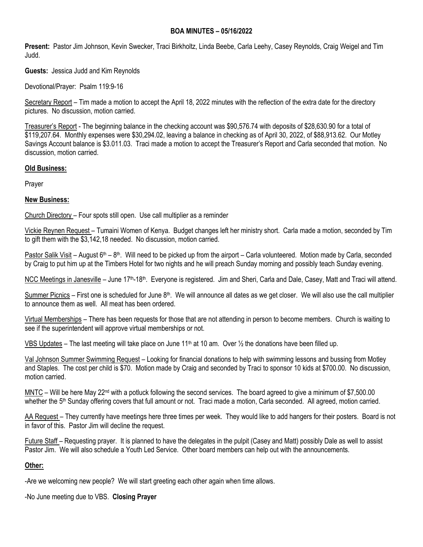#### **BOA MINUTES – 05/16/2022**

**Present:** Pastor Jim Johnson, Kevin Swecker, Traci Birkholtz, Linda Beebe, Carla Leehy, Casey Reynolds, Craig Weigel and Tim Judd.

**Guests:** Jessica Judd and Kim Reynolds

Devotional/Prayer: Psalm 119:9-16

Secretary Report – Tim made a motion to accept the April 18, 2022 minutes with the reflection of the extra date for the directory pictures. No discussion, motion carried.

Treasurer's Report - The beginning balance in the checking account was \$90,576.74 with deposits of \$28,630.90 for a total of \$119,207.64. Monthly expenses were \$30,294.02, leaving a balance in checking as of April 30, 2022, of \$88,913.62. Our Motley Savings Account balance is \$3.011.03. Traci made a motion to accept the Treasurer's Report and Carla seconded that motion. No discussion, motion carried.

#### **Old Business:**

Prayer

## **New Business:**

Church Directory – Four spots still open. Use call multiplier as a reminder

Vickie Reynen Request – Tumaini Women of Kenya. Budget changes left her ministry short. Carla made a motion, seconded by Tim to gift them with the \$3,142,18 needed. No discussion, motion carried.

Pastor Salik Visit – August 6<sup>th</sup> – 8<sup>th</sup>. Will need to be picked up from the airport – Carla volunteered. Motion made by Carla, seconded by Craig to put him up at the Timbers Hotel for two nights and he will preach Sunday morning and possibly teach Sunday evening.

NCC Meetings in Janesville – June 17<sup>th</sup>-18<sup>th</sup>. Everyone is registered. Jim and Sheri, Carla and Dale, Casey, Matt and Traci will attend.

Summer Picnics – First one is scheduled for June  $8<sup>th</sup>$ . We will announce all dates as we get closer. We will also use the call multiplier to announce them as well. All meat has been ordered.

Virtual Memberships – There has been requests for those that are not attending in person to become members. Church is waiting to see if the superintendent will approve virtual memberships or not.

VBS Updates – The last meeting will take place on June 11<sup>th</sup> at 10 am. Over  $\frac{1}{2}$  the donations have been filled up.

Val Johnson Summer Swimming Request – Looking for financial donations to help with swimming lessons and bussing from Motley and Staples. The cost per child is \$70. Motion made by Craig and seconded by Traci to sponsor 10 kids at \$700.00. No discussion, motion carried.

MNTC – Will be here May 22<sup>nd</sup> with a potluck following the second services. The board agreed to give a minimum of \$7,500.00 whether the 5<sup>th</sup> Sunday offering covers that full amount or not. Traci made a motion, Carla seconded. All agreed, motion carried.

AA Request – They currently have meetings here three times per week. They would like to add hangers for their posters. Board is not in favor of this. Pastor Jim will decline the request.

Future Staff – Requesting prayer. It is planned to have the delegates in the pulpit (Casey and Matt) possibly Dale as well to assist Pastor Jim. We will also schedule a Youth Led Service. Other board members can help out with the announcements.

## **Other:**

-Are we welcoming new people? We will start greeting each other again when time allows.

-No June meeting due to VBS. **Closing Prayer**